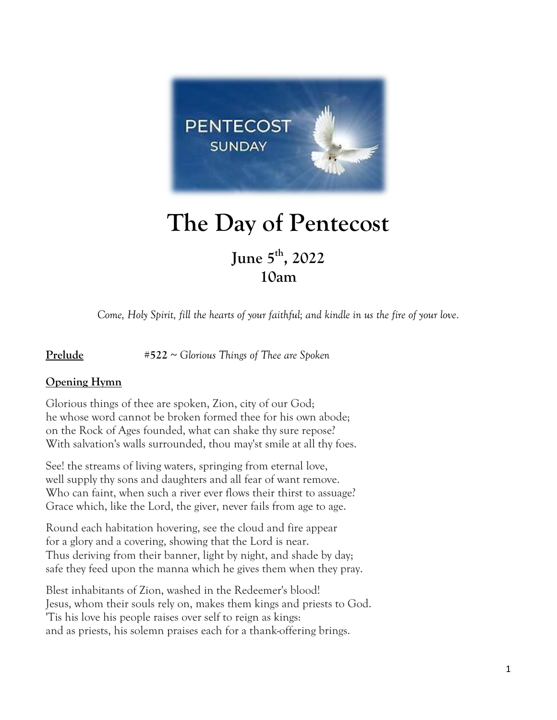

# **The Day of Pentecost**

## **June 5th, 2022 10am**

*Come, Holy Spirit, fill the hearts of your faithful; and kindle in us the fire of your love.*

#### **Prelude** #**522** ~ *Glorious Things of Thee are Spoken*

#### **Opening Hymn**

Glorious things of thee are spoken, Zion, city of our God; he whose word cannot be broken formed thee for his own abode; on the Rock of Ages founded, what can shake thy sure repose? With salvation's walls surrounded, thou may'st smile at all thy foes.

See! the streams of living waters, springing from eternal love, well supply thy sons and daughters and all fear of want remove. Who can faint, when such a river ever flows their thirst to assuage? Grace which, like the Lord, the giver, never fails from age to age.

Round each habitation hovering, see the cloud and fire appear for a glory and a covering, showing that the Lord is near. Thus deriving from their banner, light by night, and shade by day; safe they feed upon the manna which he gives them when they pray.

Blest inhabitants of Zion, washed in the Redeemer's blood! Jesus, whom their souls rely on, makes them kings and priests to God. 'Tis his love his people raises over self to reign as kings: and as priests, his solemn praises each for a thank-offering brings.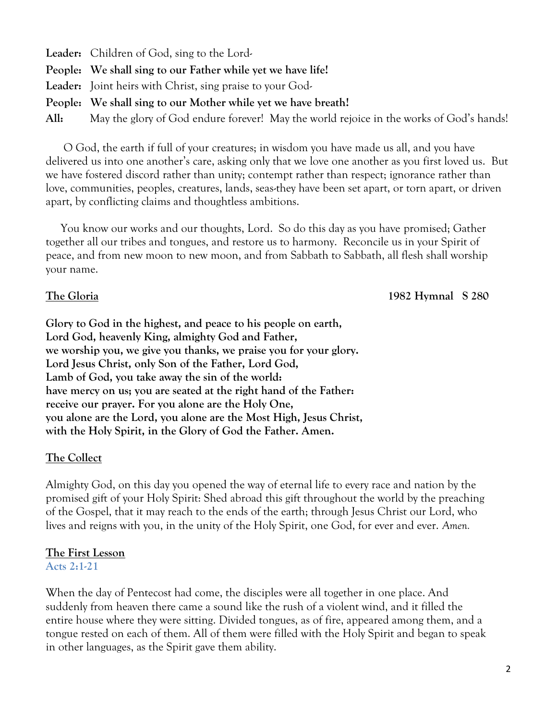**Leader:** Children of God, sing to the Lord-**People: We shall sing to our Father while yet we have life! Leader:** Joint heirs with Christ, sing praise to your God-**People: We shall sing to our Mother while yet we have breath! All:** May the glory of God endure forever! May the world rejoice in the works of God's hands!

 O God, the earth if full of your creatures; in wisdom you have made us all, and you have delivered us into one another's care, asking only that we love one another as you first loved us. But we have fostered discord rather than unity; contempt rather than respect; ignorance rather than love, communities, peoples, creatures, lands, seas-they have been set apart, or torn apart, or driven apart, by conflicting claims and thoughtless ambitions.

 You know our works and our thoughts, Lord. So do this day as you have promised; Gather together all our tribes and tongues, and restore us to harmony. Reconcile us in your Spirit of peace, and from new moon to new moon, and from Sabbath to Sabbath, all flesh shall worship your name.

**The Gloria 1982 Hymnal S 280**

**Glory to God in the highest, and peace to his people on earth, Lord God, heavenly King, almighty God and Father, we worship you, we give you thanks, we praise you for your glory. Lord Jesus Christ, only Son of the Father, Lord God, Lamb of God, you take away the sin of the world: have mercy on us; you are seated at the right hand of the Father: receive our prayer. For you alone are the Holy One, you alone are the Lord, you alone are the Most High, Jesus Christ, with the Holy Spirit, in the Glory of God the Father. Amen.** 

### **The Collect**

Almighty God, on this day you opened the way of eternal life to every race and nation by the promised gift of your Holy Spirit: Shed abroad this gift throughout the world by the preaching of the Gospel, that it may reach to the ends of the earth; through Jesus Christ our Lord, who lives and reigns with you, in the unity of the Holy Spirit, one God, for ever and ever. *Amen.*

### **The First Lesson**

**Acts 2:1-21**

When the day of Pentecost had come, the disciples were all together in one place. And suddenly from heaven there came a sound like the rush of a violent wind, and it filled the entire house where they were sitting. Divided tongues, as of fire, appeared among them, and a tongue rested on each of them. All of them were filled with the Holy Spirit and began to speak in other languages, as the Spirit gave them ability.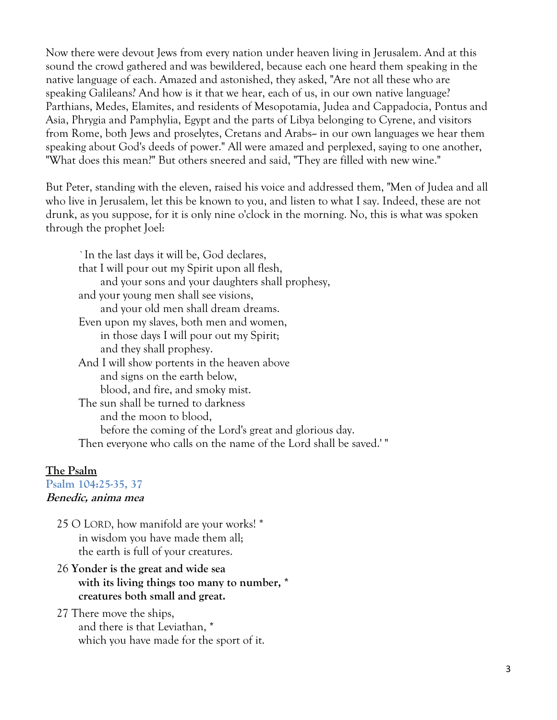Now there were devout Jews from every nation under heaven living in Jerusalem. And at this sound the crowd gathered and was bewildered, because each one heard them speaking in the native language of each. Amazed and astonished, they asked, "Are not all these who are speaking Galileans? And how is it that we hear, each of us, in our own native language? Parthians, Medes, Elamites, and residents of Mesopotamia, Judea and Cappadocia, Pontus and Asia, Phrygia and Pamphylia, Egypt and the parts of Libya belonging to Cyrene, and visitors from Rome, both Jews and proselytes, Cretans and Arabs-- in our own languages we hear them speaking about God's deeds of power." All were amazed and perplexed, saying to one another, "What does this mean?" But others sneered and said, "They are filled with new wine."

But Peter, standing with the eleven, raised his voice and addressed them, "Men of Judea and all who live in Jerusalem, let this be known to you, and listen to what I say. Indeed, these are not drunk, as you suppose, for it is only nine o'clock in the morning. No, this is what was spoken through the prophet Joel:

`In the last days it will be, God declares, that I will pour out my Spirit upon all flesh, and your sons and your daughters shall prophesy, and your young men shall see visions, and your old men shall dream dreams. Even upon my slaves, both men and women, in those days I will pour out my Spirit; and they shall prophesy. And I will show portents in the heaven above and signs on the earth below, blood, and fire, and smoky mist. The sun shall be turned to darkness and the moon to blood, before the coming of the Lord's great and glorious day. Then everyone who calls on the name of the Lord shall be saved.' "

#### **The Psalm**

#### **Psalm 104:25-35, 37 Benedic, anima mea**

- 25 O LORD, how manifold are your works! \* in wisdom you have made them all; the earth is full of your creatures.
- 26 **Yonder is the great and wide sea with its living things too many to number, \* creatures both small and great.**
- 27 There move the ships, and there is that Leviathan, \* which you have made for the sport of it.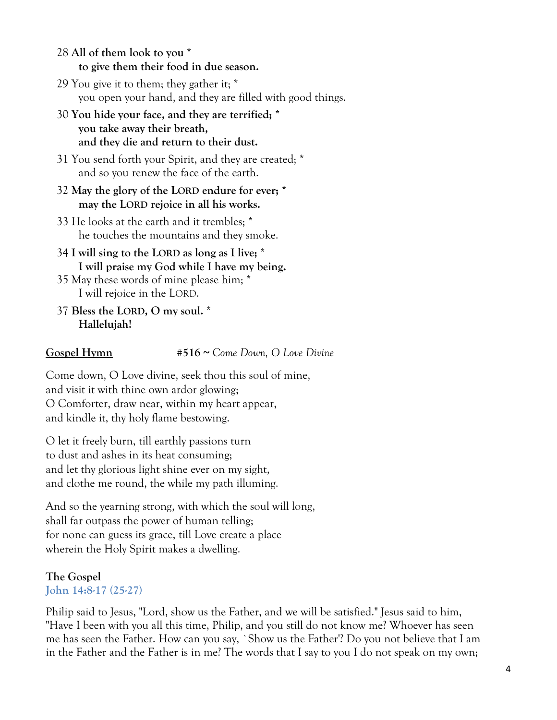| 28 All of them look to you *           |
|----------------------------------------|
| to give them their food in due season. |

- 29 You give it to them; they gather it; \* you open your hand, and they are filled with good things.
- 30 **You hide your face, and they are terrified; \* you take away their breath, and they die and return to their dust.**
- 31 You send forth your Spirit, and they are created; \* and so you renew the face of the earth.
- 32 **May the glory of the LORD endure for ever; \* may the LORD rejoice in all his works.**
- 33 He looks at the earth and it trembles; \* he touches the mountains and they smoke.
- 34 **I will sing to the LORD as long as I live; \* I will praise my God while I have my being.**
- 35 May these words of mine please him; \* I will rejoice in the LORD.
- 37 **Bless the LORD, O my soul. \* Hallelujah!**

**Gospel Hymn #516 ~** *Come Down, O Love Divine*

Come down, O Love divine, seek thou this soul of mine, and visit it with thine own ardor glowing; O Comforter, draw near, within my heart appear, and kindle it, thy holy flame bestowing.

O let it freely burn, till earthly passions turn to dust and ashes in its heat consuming; and let thy glorious light shine ever on my sight, and clothe me round, the while my path illuming.

And so the yearning strong, with which the soul will long, shall far outpass the power of human telling; for none can guess its grace, till Love create a place wherein the Holy Spirit makes a dwelling.

# **The Gospel**

**John 14:8-17 (25-27)**

Philip said to Jesus, "Lord, show us the Father, and we will be satisfied." Jesus said to him, "Have I been with you all this time, Philip, and you still do not know me? Whoever has seen me has seen the Father. How can you say, `Show us the Father'? Do you not believe that I am in the Father and the Father is in me? The words that I say to you I do not speak on my own;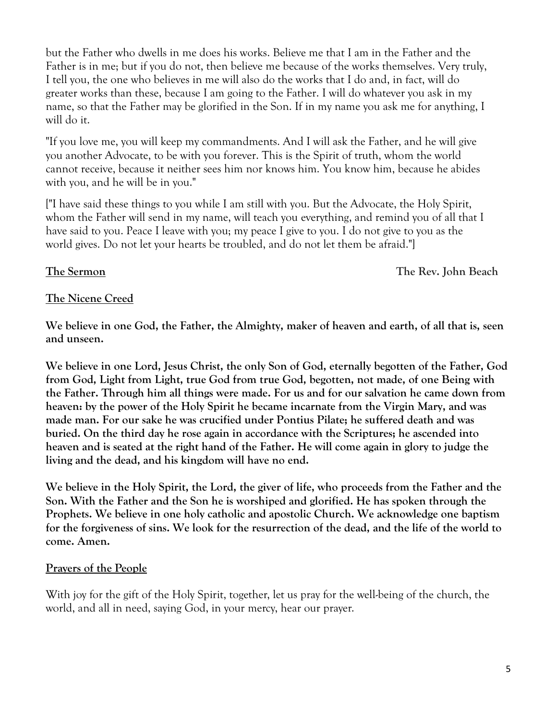but the Father who dwells in me does his works. Believe me that I am in the Father and the Father is in me; but if you do not, then believe me because of the works themselves. Very truly, I tell you, the one who believes in me will also do the works that I do and, in fact, will do greater works than these, because I am going to the Father. I will do whatever you ask in my name, so that the Father may be glorified in the Son. If in my name you ask me for anything, I will do it.

"If you love me, you will keep my commandments. And I will ask the Father, and he will give you another Advocate, to be with you forever. This is the Spirit of truth, whom the world cannot receive, because it neither sees him nor knows him. You know him, because he abides with you, and he will be in you."

["I have said these things to you while I am still with you. But the Advocate, the Holy Spirit, whom the Father will send in my name, will teach you everything, and remind you of all that I have said to you. Peace I leave with you; my peace I give to you. I do not give to you as the world gives. Do not let your hearts be troubled, and do not let them be afraid."]

**The Sermon The Rev. John Beach**

#### **The Nicene Creed**

**We believe in one God, the Father, the Almighty, maker of heaven and earth, of all that is, seen and unseen.** 

**We believe in one Lord, Jesus Christ, the only Son of God, eternally begotten of the Father, God from God, Light from Light, true God from true God, begotten, not made, of one Being with the Father. Through him all things were made. For us and for our salvation he came down from heaven: by the power of the Holy Spirit he became incarnate from the Virgin Mary, and was made man. For our sake he was crucified under Pontius Pilate; he suffered death and was buried. On the third day he rose again in accordance with the Scriptures; he ascended into heaven and is seated at the right hand of the Father. He will come again in glory to judge the living and the dead, and his kingdom will have no end.** 

**We believe in the Holy Spirit, the Lord, the giver of life, who proceeds from the Father and the Son. With the Father and the Son he is worshiped and glorified. He has spoken through the Prophets. We believe in one holy catholic and apostolic Church. We acknowledge one baptism for the forgiveness of sins. We look for the resurrection of the dead, and the life of the world to come. Amen.**

#### **Prayers of the People**

With joy for the gift of the Holy Spirit, together, let us pray for the well-being of the church, the world, and all in need, saying God, in your mercy, hear our prayer.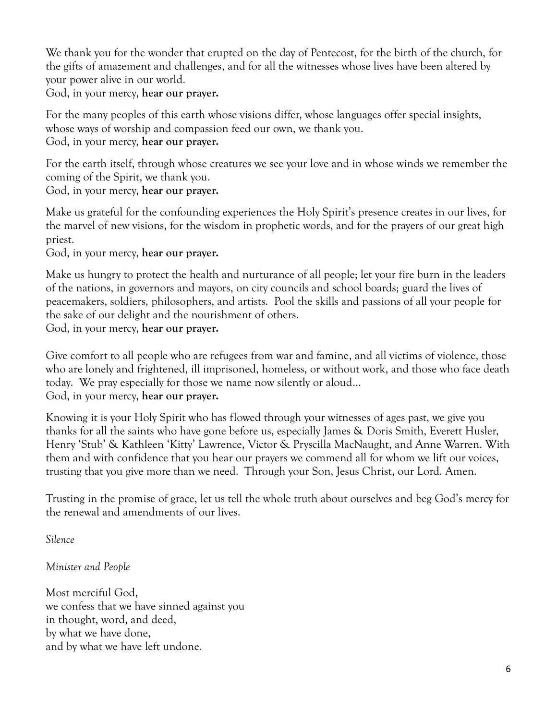We thank you for the wonder that erupted on the day of Pentecost, for the birth of the church, for the gifts of amazement and challenges, and for all the witnesses whose lives have been altered by your power alive in our world.

God, in your mercy, **hear our prayer.**

For the many peoples of this earth whose visions differ, whose languages offer special insights, whose ways of worship and compassion feed our own, we thank you. God, in your mercy, **hear our prayer.**

For the earth itself, through whose creatures we see your love and in whose winds we remember the coming of the Spirit, we thank you.

God, in your mercy, **hear our prayer.**

Make us grateful for the confounding experiences the Holy Spirit's presence creates in our lives, for the marvel of new visions, for the wisdom in prophetic words, and for the prayers of our great high priest.

God, in your mercy, **hear our prayer.**

Make us hungry to protect the health and nurturance of all people; let your fire burn in the leaders of the nations, in governors and mayors, on city councils and school boards; guard the lives of peacemakers, soldiers, philosophers, and artists. Pool the skills and passions of all your people for the sake of our delight and the nourishment of others.

God, in your mercy, **hear our prayer.**

Give comfort to all people who are refugees from war and famine, and all victims of violence, those who are lonely and frightened, ill imprisoned, homeless, or without work, and those who face death today. We pray especially for those we name now silently or aloud… God, in your mercy, **hear our prayer.**

Knowing it is your Holy Spirit who has flowed through your witnesses of ages past, we give you thanks for all the saints who have gone before us, especially James & Doris Smith, Everett Husler, Henry 'Stub' & Kathleen 'Kitty' Lawrence, Victor & Pryscilla MacNaught, and Anne Warren. With them and with confidence that you hear our prayers we commend all for whom we lift our voices, trusting that you give more than we need. Through your Son, Jesus Christ, our Lord. Amen.

Trusting in the promise of grace, let us tell the whole truth about ourselves and beg God's mercy for the renewal and amendments of our lives.

*Silence*

*Minister and People*

Most merciful God, we confess that we have sinned against you in thought, word, and deed, by what we have done, and by what we have left undone.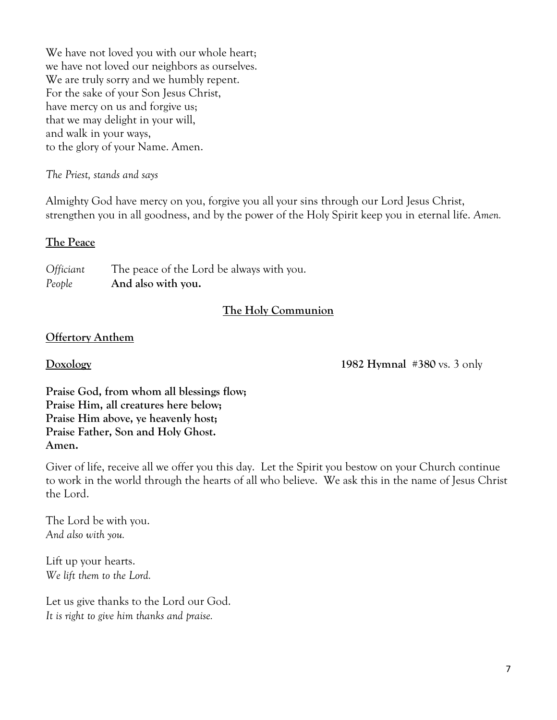We have not loved you with our whole heart; we have not loved our neighbors as ourselves. We are truly sorry and we humbly repent. For the sake of your Son Jesus Christ, have mercy on us and forgive us; that we may delight in your will, and walk in your ways, to the glory of your Name. Amen.

*The Priest, stands and says*

Almighty God have mercy on you, forgive you all your sins through our Lord Jesus Christ, strengthen you in all goodness, and by the power of the Holy Spirit keep you in eternal life. *Amen.*

#### **The Peace**

*Officiant* The peace of the Lord be always with you. *People* **And also with you.**

#### **The Holy Communion**

#### **Offertory Anthem**

**Doxology 1982 Hymnal** #**380** vs. 3 only

**Praise God, from whom all blessings flow; Praise Him, all creatures here below; Praise Him above, ye heavenly host; Praise Father, Son and Holy Ghost. Amen.** 

Giver of life, receive all we offer you this day. Let the Spirit you bestow on your Church continue to work in the world through the hearts of all who believe. We ask this in the name of Jesus Christ the Lord.

The Lord be with you. *And also with you.*

Lift up your hearts. *We lift them to the Lord.*

Let us give thanks to the Lord our God. *It is right to give him thanks and praise.*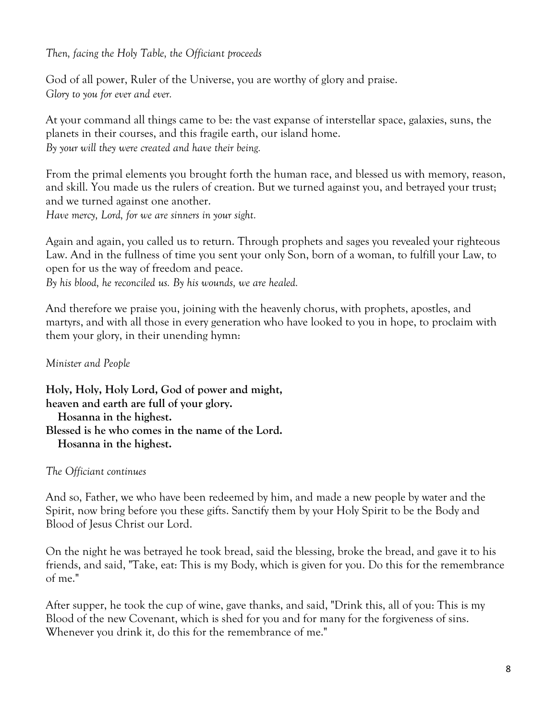*Then, facing the Holy Table, the Officiant proceeds*

God of all power, Ruler of the Universe, you are worthy of glory and praise. *Glory to you for ever and ever.*

At your command all things came to be: the vast expanse of interstellar space, galaxies, suns, the planets in their courses, and this fragile earth, our island home. *By your will they were created and have their being.*

From the primal elements you brought forth the human race, and blessed us with memory, reason, and skill. You made us the rulers of creation. But we turned against you, and betrayed your trust; and we turned against one another.

*Have mercy, Lord, for we are sinners in your sight.*

Again and again, you called us to return. Through prophets and sages you revealed your righteous Law. And in the fullness of time you sent your only Son, born of a woman, to fulfill your Law, to open for us the way of freedom and peace.

*By his blood, he reconciled us. By his wounds, we are healed.*

And therefore we praise you, joining with the heavenly chorus, with prophets, apostles, and martyrs, and with all those in every generation who have looked to you in hope, to proclaim with them your glory, in their unending hymn:

*Minister and People*

**Holy, Holy, Holy Lord, God of power and might, heaven and earth are full of your glory. Hosanna in the highest. Blessed is he who comes in the name of the Lord. Hosanna in the highest.**

*The Officiant continues*

And so, Father, we who have been redeemed by him, and made a new people by water and the Spirit, now bring before you these gifts. Sanctify them by your Holy Spirit to be the Body and Blood of Jesus Christ our Lord.

On the night he was betrayed he took bread, said the blessing, broke the bread, and gave it to his friends, and said, "Take, eat: This is my Body, which is given for you. Do this for the remembrance of me."

After supper, he took the cup of wine, gave thanks, and said, "Drink this, all of you: This is my Blood of the new Covenant, which is shed for you and for many for the forgiveness of sins. Whenever you drink it, do this for the remembrance of me."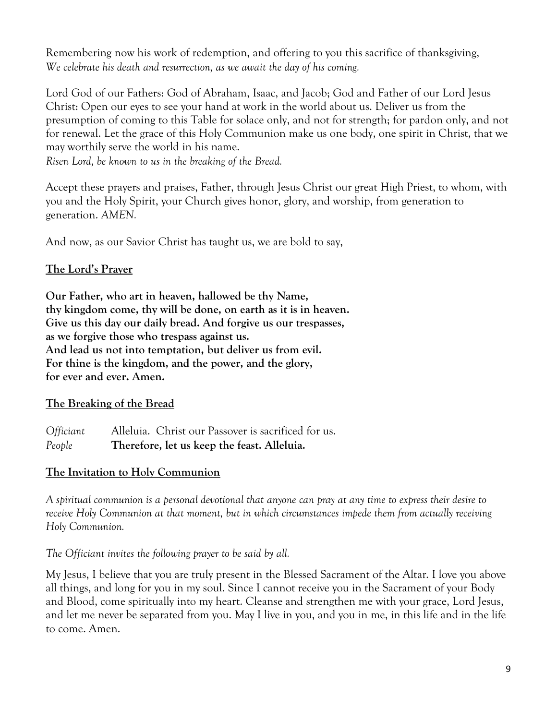Remembering now his work of redemption, and offering to you this sacrifice of thanksgiving, *We celebrate his death and resurrection, as we await the day of his coming.*

Lord God of our Fathers: God of Abraham, Isaac, and Jacob; God and Father of our Lord Jesus Christ: Open our eyes to see your hand at work in the world about us. Deliver us from the presumption of coming to this Table for solace only, and not for strength; for pardon only, and not for renewal. Let the grace of this Holy Communion make us one body, one spirit in Christ, that we may worthily serve the world in his name.

*Risen Lord, be known to us in the breaking of the Bread.*

Accept these prayers and praises, Father, through Jesus Christ our great High Priest, to whom, with you and the Holy Spirit, your Church gives honor, glory, and worship, from generation to generation. *AMEN.*

And now, as our Savior Christ has taught us, we are bold to say,

### **The Lord's Prayer**

**Our Father, who art in heaven, hallowed be thy Name, thy kingdom come, thy will be done, on earth as it is in heaven. Give us this day our daily bread. And forgive us our trespasses, as we forgive those who trespass against us. And lead us not into temptation, but deliver us from evil. For thine is the kingdom, and the power, and the glory, for ever and ever. Amen.** 

#### **The Breaking of the Bread**

*Officiant* Alleluia. Christ our Passover is sacrificed for us. *People* **Therefore, let us keep the feast. Alleluia.**

### **The Invitation to Holy Communion**

*A spiritual communion is a personal devotional that anyone can pray at any time to express their desire to receive Holy Communion at that moment, but in which circumstances impede them from actually receiving Holy Communion.*

*The Officiant invites the following prayer to be said by all.*

My Jesus, I believe that you are truly present in the Blessed Sacrament of the Altar. I love you above all things, and long for you in my soul. Since I cannot receive you in the Sacrament of your Body and Blood, come spiritually into my heart. Cleanse and strengthen me with your grace, Lord Jesus, and let me never be separated from you. May I live in you, and you in me, in this life and in the life to come. Amen.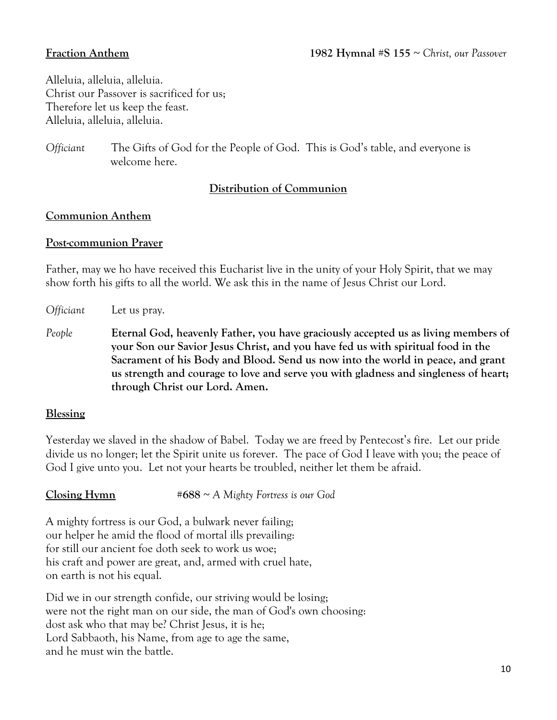Alleluia, alleluia, alleluia. Christ our Passover is sacrificed for us; Therefore let us keep the feast. Alleluia, alleluia, alleluia.

*Officiant* The Gifts of God for the People of God. This is God's table, and everyone is welcome here.

#### **Distribution of Communion**

#### **Communion Anthem**

#### **Post-communion Prayer**

Father, may we ho have received this Eucharist live in the unity of your Holy Spirit, that we may show forth his gifts to all the world. We ask this in the name of Jesus Christ our Lord.

- *Officiant* Let us pray.
- *People* **Eternal God, heavenly Father, you have graciously accepted us as living members of your Son our Savior Jesus Christ, and you have fed us with spiritual food in the Sacrament of his Body and Blood. Send us now into the world in peace, and grant us strength and courage to love and serve you with gladness and singleness of heart; through Christ our Lord. Amen.**

#### **Blessing**

Yesterday we slaved in the shadow of Babel. Today we are freed by Pentecost's fire. Let our pride divide us no longer; let the Spirit unite us forever. The pace of God I leave with you; the peace of God I give unto you. Let not your hearts be troubled, neither let them be afraid.

**Closing Hymn** #**688** ~ *A Mighty Fortress is our God*

A mighty fortress is our God, a bulwark never failing; our helper he amid the flood of mortal ills prevailing: for still our ancient foe doth seek to work us woe; his craft and power are great, and, armed with cruel hate, on earth is not his equal.

Did we in our strength confide, our striving would be losing; were not the right man on our side, the man of God's own choosing: dost ask who that may be? Christ Jesus, it is he; Lord Sabbaoth, his Name, from age to age the same, and he must win the battle.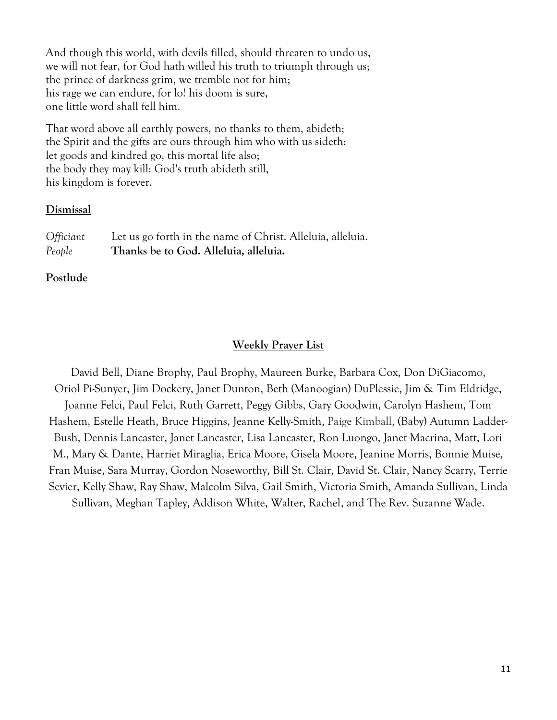And though this world, with devils filled, should threaten to undo us, we will not fear, for God hath willed his truth to triumph through us; the prince of darkness grim, we tremble not for him; his rage we can endure, for lo! his doom is sure, one little word shall fell him.

That word above all earthly powers, no thanks to them, abideth; the Spirit and the gifts are ours through him who with us sideth: let goods and kindred go, this mortal life also; the body they may kill: God's truth abideth still, his kingdom is forever.

#### **Dismissal**

| Officiant | Let us go forth in the name of Christ. Alleluia, alleluia. |
|-----------|------------------------------------------------------------|
| People    | Thanks be to God. Alleluia, alleluia.                      |

#### **Postlude**

#### **Weekly Prayer List**

David Bell, Diane Brophy, Paul Brophy, Maureen Burke, Barbara Cox, Don DiGiacomo, Oriol Pi-Sunyer, Jim Dockery, Janet Dunton, Beth (Manoogian) DuPlessie, Jim & Tim Eldridge, Joanne Felci, Paul Felci, Ruth Garrett, Peggy Gibbs, Gary Goodwin, Carolyn Hashem, Tom Hashem, Estelle Heath, Bruce Higgins, Jeanne Kelly-Smith, Paige Kimball, (Baby) Autumn Ladder-Bush, Dennis Lancaster, Janet Lancaster, Lisa Lancaster, Ron Luongo, Janet Macrina, Matt, Lori M., Mary & Dante, Harriet Miraglia, Erica Moore, Gisela Moore, Jeanine Morris, Bonnie Muise, Fran Muise, Sara Murray, Gordon Noseworthy, Bill St. Clair, David St. Clair, Nancy Scarry, Terrie Sevier, Kelly Shaw, Ray Shaw, Malcolm Silva, Gail Smith, Victoria Smith, Amanda Sullivan, Linda Sullivan, Meghan Tapley, Addison White, Walter, Rachel, and The Rev. Suzanne Wade.